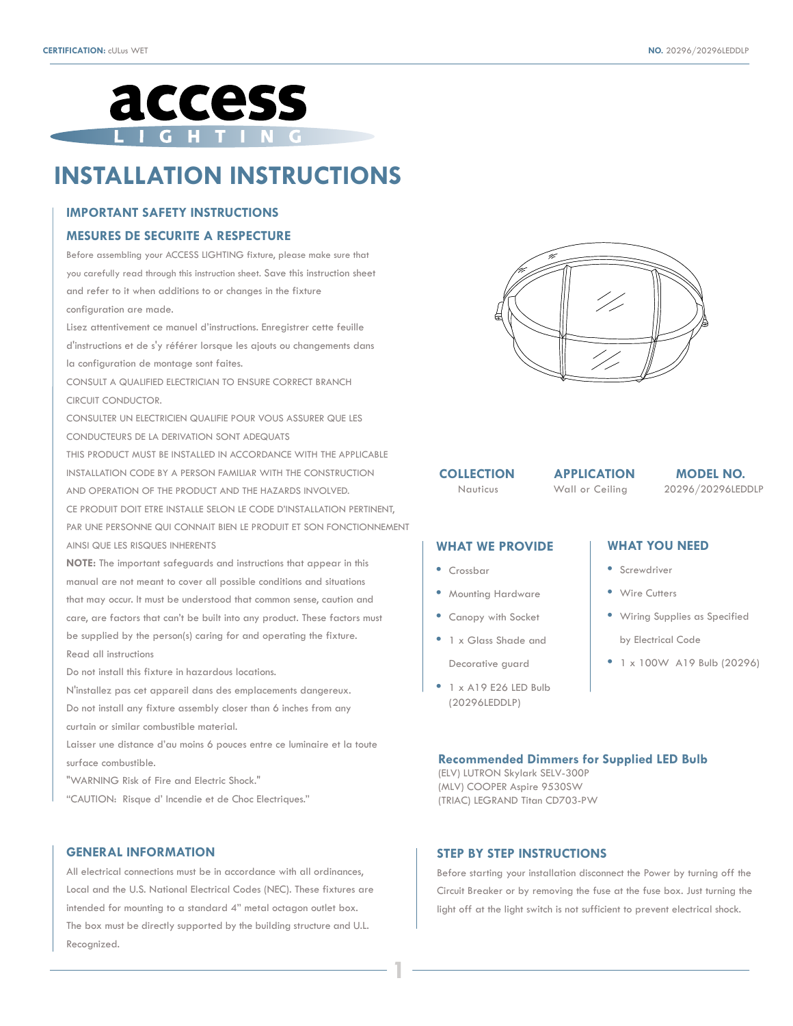

# **INSTALLATION INSTRUCTIONS**

# **IMPORTANT SAFETY INSTRUCTIONS**

#### **MESURES DE SECURITE A RESPECTURE**

Before assembling your ACCESS LIGHTING fixture, please make sure that you carefully read through this instruction sheet. Save this instruction sheet and refer to it when additions to or changes in the fixture configuration are made.

Lisez attentivement ce manuel d'instructions. Enregistrer cette feuille d'instructions et de s'y référer lorsque les ajouts ou changements dans la configuration de montage sont faites.

CONSULT A QUALIFIED ELECTRICIAN TO ENSURE CORRECT BRANCH CIRCUIT CONDUCTOR.

CONSULTER UN ELECTRICIEN QUALIFIE POUR VOUS ASSURER QUE LES CONDUCTEURS DE LA DERIVATION SONT ADEQUATS

THIS PRODUCT MUST BE INSTALLED IN ACCORDANCE WITH THE APPLICABLE INSTALLATION CODE BY A PERSON FAMILIAR WITH THE CONSTRUCTION AND OPERATION OF THE PRODUCT AND THE HAZARDS INVOLVED.

CE PRODUIT DOIT ETRE INSTALLE SELON LE CODE D'INSTALLATION PERTINENT, PAR UNE PERSONNE QUI CONNAIT BIEN LE PRODUIT ET SON FONCTIONNEMENT AINSI QUE LES RISQUES INHERENTS

**NOTE:** The important safeguards and instructions that appear in this

manual are not meant to cover all possible conditions and situations that may occur. It must be understood that common sense, caution and care, are factors that can't be built into any product. These factors must be supplied by the person(s) caring for and operating the fixture. Read all instructions

Do not install this fixture in hazardous locations.

N'installez pas cet appareil dans des emplacements dangereux. Do not install any fixture assembly closer than 6 inches from any curtain or similar combustible material.

Laisser une distance d'au moins 6 pouces entre ce luminaire et la toute surface combustible.

"WARNING Risk of Fire and Electric Shock."

"CAUTION: Risque d' Incendie et de Choc Electriques."

#### **GENERAL INFORMATION**

All electrical connections must be in accordance with all ordinances, Local and the U.S. National Electrical Codes (NEC). These fixtures are intended for mounting to a standard 4" metal octagon outlet box. The box must be directly supported by the building structure and U.L. Recognized.



#### **COLLECTION**

Wall or Ceiling

Nauticus Wall or Ceiling 20296/20296LEDDLP **APPLICATION MODEL NO.**

# **WHAT WE PROVIDE**

- Crossbar
- Mounting Hardware
- Canopy with Socket
- 1 x Glass Shade and Decorative guard
- 1 x A19 E26 LED Bulb (20296LEDDLP)

# **WHAT YOU NEED**

- Screwdriver
- Wire Cutters
- Wiring Supplies as Specified
- by Electrical Code
- 1 x 100W A19 Bulb (20296)

# **Recommended Dimmers for Supplied LED Bulb**

(ELV) LUTRON Skylark SELV-300P (MLV) COOPER Aspire 9530SW (TRIAC) LEGRAND Titan CD703-PW

# **STEP BY STEP INSTRUCTIONS**

**1**

Before starting your installation disconnect the Power by turning off the Circuit Breaker or by removing the fuse at the fuse box. Just turning the light off at the light switch is not sufficient to prevent electrical shock.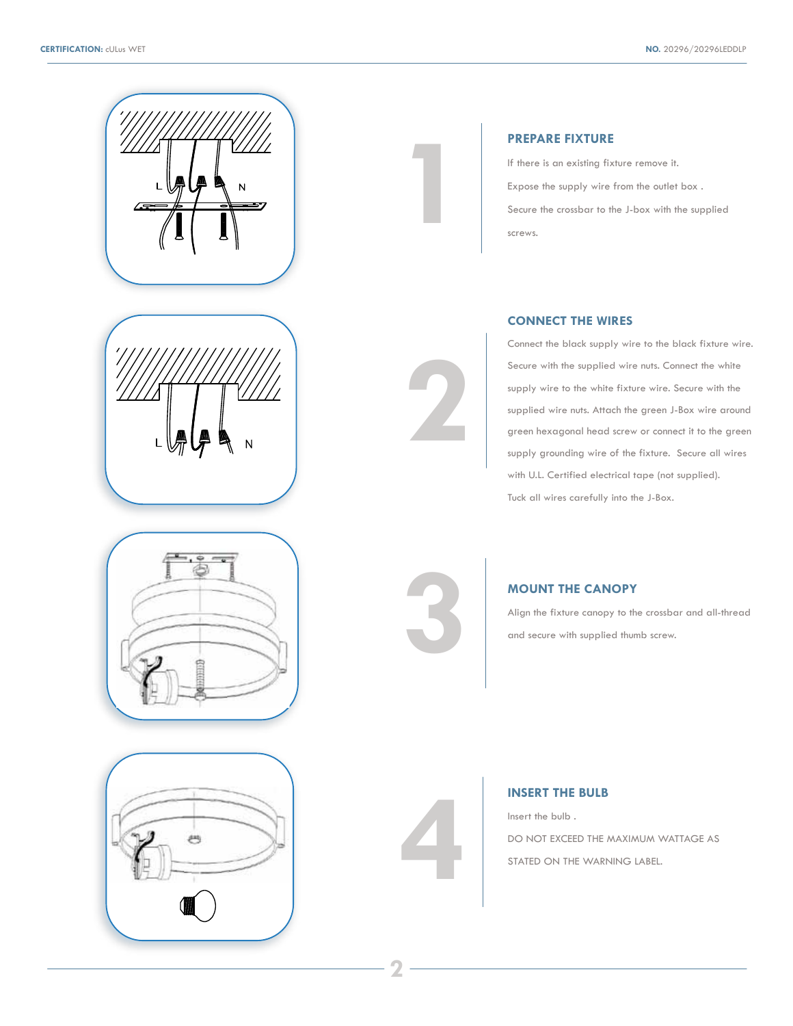







# **PREPARE FIXTURE**

If there is an existing fixture remove it. Expose the supply wire from the outlet box . Secure the crossbar to the J-box with the supplied screws.

# **CONNECT THE WIRES**

Connect the black supply wire to the black fixture wire. Secure with the supplied wire nuts. Connect the white supply wire to the white fixture wire. Secure with the supplied wire nuts. Attach the green J-Box wire around green hexagonal head screw or connect it to the green supply grounding wire of the fixture. Secure all wires with U.L. Certified electrical tape (not supplied). Tuck all wires carefully into the J-Box.



**4**

**2**

**1**

Align the fixture canopy to the crossbar and all-thread and secure with supplied thumb screw.

# **INSERT THE BULB**

Insert the bulb . DO NOT EXCEED THE MAXIMUM WATTAGE AS STATED ON THE WARNING LABEL.